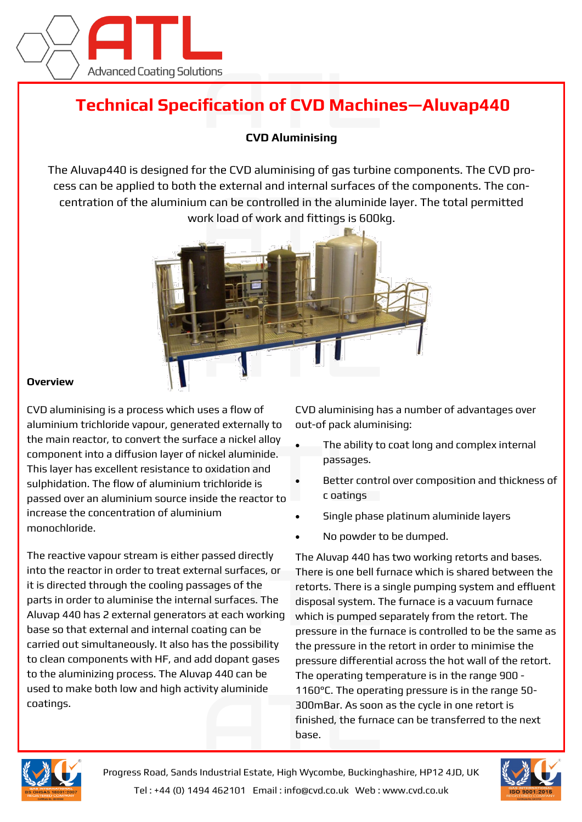

## **Technical Specification of CVD Machines—Aluvap440**

## **CVD Aluminising**

The Aluvap440 is designed for the CVD aluminising of gas turbine components. The CVD process can be applied to both the external and internal surfaces of the components. The concentration of the aluminium can be controlled in the aluminide layer. The total permitted work load of work and fittings is 600kg.



## **Overview**

CVD aluminising is a process which uses a flow of aluminium trichloride vapour, generated externally to the main reactor, to convert the surface a nickel alloy component into a diffusion layer of nickel aluminide. This layer has excellent resistance to oxidation and sulphidation. The flow of aluminium trichloride is passed over an aluminium source inside the reactor to increase the concentration of aluminium monochloride.

The reactive vapour stream is either passed directly into the reactor in order to treat external surfaces, or it is directed through the cooling passages of the parts in order to aluminise the internal surfaces. The Aluvap 440 has 2 external generators at each working base so that external and internal coating can be carried out simultaneously. It also has the possibility to clean components with HF, and add dopant gases to the aluminizing process. The Aluvap 440 can be used to make both low and high activity aluminide coatings.

CVD aluminising has a number of advantages over out-of pack aluminising:

- The ability to coat long and complex internal passages.
- Better control over composition and thickness of c oatings
- Single phase platinum aluminide layers
- No powder to be dumped.

The Aluvap 440 has two working retorts and bases. There is one bell furnace which is shared between the retorts. There is a single pumping system and effluent disposal system. The furnace is a vacuum furnace which is pumped separately from the retort. The pressure in the furnace is controlled to be the same as the pressure in the retort in order to minimise the pressure differential across the hot wall of the retort. The operating temperature is in the range 900 - 1160°C. The operating pressure is in the range 50- 300mBar. As soon as the cycle in one retort is finished, the furnace can be transferred to the next base.



Progress Road, Sands Industrial Estate, High Wycombe, Buckinghashire, HP12 4JD, UK Tel : +44 (0) 1494 462101 Email : info@cvd.co.uk Web : www.cvd.co.uk